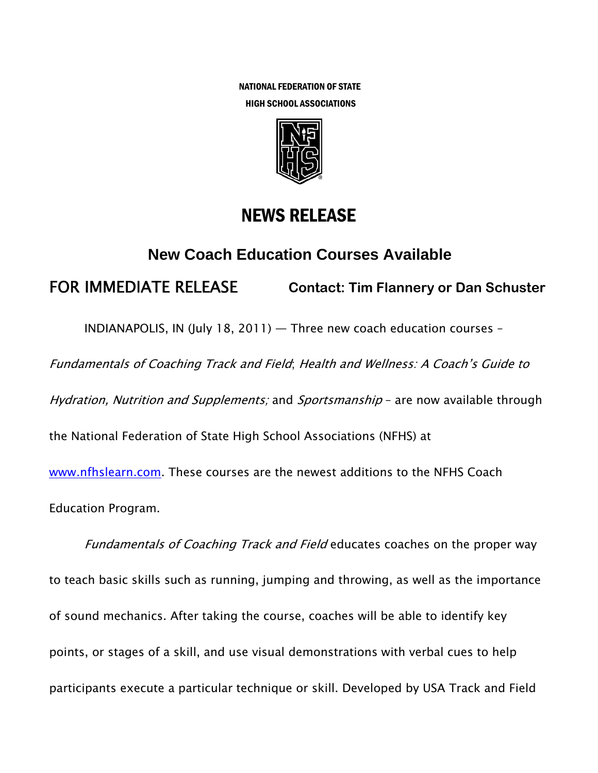NATIONAL FEDERATION OF STATE HIGH SCHOOL ASSOCIATIONS



## NEWS RELEASE

## **New Coach Education Courses Available**

FOR IMMEDIATE RELEASE **Contact: Tim Flannery or Dan Schuster** 

INDIANAPOLIS, IN (July 18, 2011) — Three new coach education courses –

Fundamentals of Coaching Track and Field; Health and Wellness: A Coach's Guide to

Hydration, Nutrition and Supplements; and Sportsmanship - are now available through

the National Federation of State High School Associations (NFHS) at

www.nfhslearn.com. These courses are the newest additions to the NFHS Coach Education Program.

Fundamentals of Coaching Track and Field educates coaches on the proper way to teach basic skills such as running, jumping and throwing, as well as the importance of sound mechanics. After taking the course, coaches will be able to identify key points, or stages of a skill, and use visual demonstrations with verbal cues to help participants execute a particular technique or skill. Developed by USA Track and Field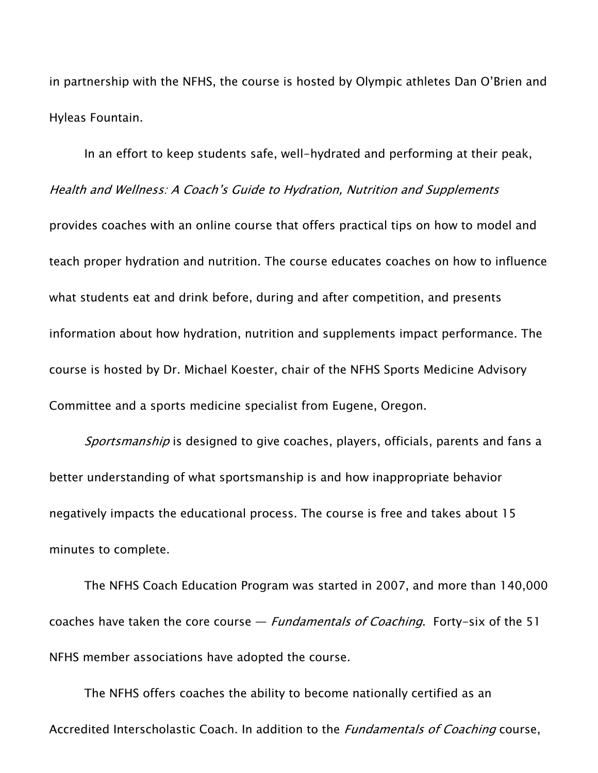in partnership with the NFHS, the course is hosted by Olympic athletes Dan O'Brien and Hyleas Fountain.

In an effort to keep students safe, well-hydrated and performing at their peak, Health and Wellness: A Coach's Guide to Hydration, Nutrition and Supplements provides coaches with an online course that offers practical tips on how to model and teach proper hydration and nutrition. The course educates coaches on how to influence what students eat and drink before, during and after competition, and presents information about how hydration, nutrition and supplements impact performance. The course is hosted by Dr. Michael Koester, chair of the NFHS Sports Medicine Advisory Committee and a sports medicine specialist from Eugene, Oregon.

Sportsmanship is designed to give coaches, players, officials, parents and fans a better understanding of what sportsmanship is and how inappropriate behavior negatively impacts the educational process. The course is free and takes about 15 minutes to complete.

The NFHS Coach Education Program was started in 2007, and more than 140,000 coaches have taken the core course  $-$  *Fundamentals of Coaching*. Forty-six of the 51 NFHS member associations have adopted the course.

The NFHS offers coaches the ability to become nationally certified as an Accredited Interscholastic Coach. In addition to the *Fundamentals of Coaching* course,